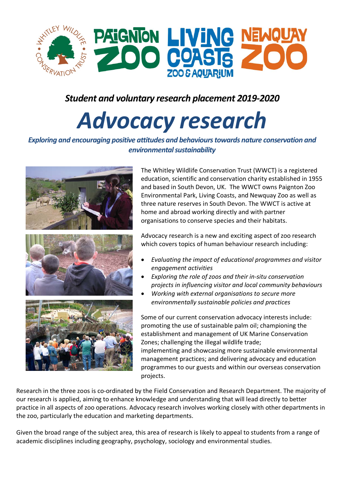

## *Student and voluntary research placement 2019-2020*

# *Advocacy research*

#### *Exploring and encouraging positive attitudes and behaviours towards nature conservation and environmental sustainability*



The Whitley Wildlife Conservation Trust (WWCT) is a registered education, scientific and conservation charity established in 1955 and based in South Devon, UK. The WWCT owns Paignton Zoo Environmental Park, Living Coasts, and Newquay Zoo as well as three nature reserves in South Devon. The WWCT is active at home and abroad working directly and with partner organisations to conserve species and their habitats.

Advocacy research is a new and exciting aspect of zoo research which covers topics of human behaviour research including:

- *Evaluating the impact of educational programmes and visitor engagement activities*
- *Exploring the role of zoos and their in-situ conservation projects in influencing visitor and local community behaviours*
- *Working with external organisations to secure more environmentally sustainable policies and practices*

Some of our current conservation advocacy interests include: promoting the use of sustainable palm oil; championing the establishment and management of UK Marine Conservation Zones; challenging the illegal wildlife trade; implementing and showcasing more sustainable environmental management practices; and delivering advocacy and education programmes to our guests and within our overseas conservation projects.

Research in the three zoos is co-ordinated by the Field Conservation and Research Department. The majority of our research is applied, aiming to enhance knowledge and understanding that will lead directly to better practice in all aspects of zoo operations. Advocacy research involves working closely with other departments in the zoo, particularly the education and marketing departments.

Given the broad range of the subject area, this area of research is likely to appeal to students from a range of academic disciplines including geography, psychology, sociology and environmental studies.